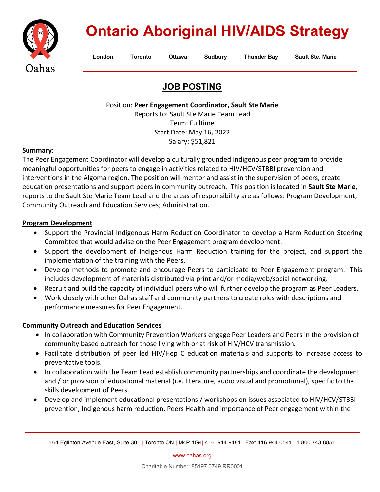

# **Ontario Aboriginal HIV/AIDS Strategy**

**London Toronto Ottawa Sudbury Thunder Bay Sault Ste. Marie**

# **JOB POSTING**

Position: **Peer Engagement Coordinator, Sault Ste Marie**

Reports to: Sault Ste Marie Team Lead Term: Fulltime Start Date: May 16, 2022 Salary: \$51,821

#### **Summary**:

The Peer Engagement Coordinator will develop a culturally grounded Indigenous peer program to provide meaningful opportunities for peers to engage in activities related to HIV/HCV/STBBI prevention and interventions in the Algoma region. The position will mentor and assist in the supervision of peers, create education presentations and support peers in community outreach. This position is located in **Sault Ste Marie**, reports to the Sault Ste Marie Team Lead and the areas of responsibility are as follows: Program Development; Community Outreach and Education Services; Administration.

# **Program Development**

- Support the Provincial Indigenous Harm Reduction Coordinator to develop a Harm Reduction Steering Committee that would advise on the Peer Engagement program development.
- Support the development of Indigenous Harm Reduction training for the project, and support the implementation of the training with the Peers.
- Develop methods to promote and encourage Peers to participate to Peer Engagement program. This includes development of materials distributed via print and/or media/web/social networking.
- Recruit and build the capacity of individual peers who will further develop the program as Peer Leaders.
- Work closely with other Oahas staff and community partners to create roles with descriptions and performance measures for Peer Engagement.

# **Community Outreach and Education Services**

- In collaboration with Community Prevention Workers engage Peer Leaders and Peers in the provision of community based outreach for those living with or at risk of HIV/HCV transmission.
- Facilitate distribution of peer led HIV/Hep C education materials and supports to increase access to preventative tools.
- In collaboration with the Team Lead establish community partnerships and coordinate the development and / or provision of educational material (i.e. literature, audio visual and promotional), specific to the skills development of Peers.
- Develop and implement educational presentations / workshops on issues associated to HIV/HCV/STBBI prevention, Indigenous harm reduction, Peers Health and importance of Peer engagement within the

[www.oahas.org](http://www.oahas.org/)

<sup>164</sup> Eglinton Avenue East, Suite 301 | Toronto ON | M4P 1G4| 416. 944.9481 | Fax: 416.944.0541 | 1.800.743.8851